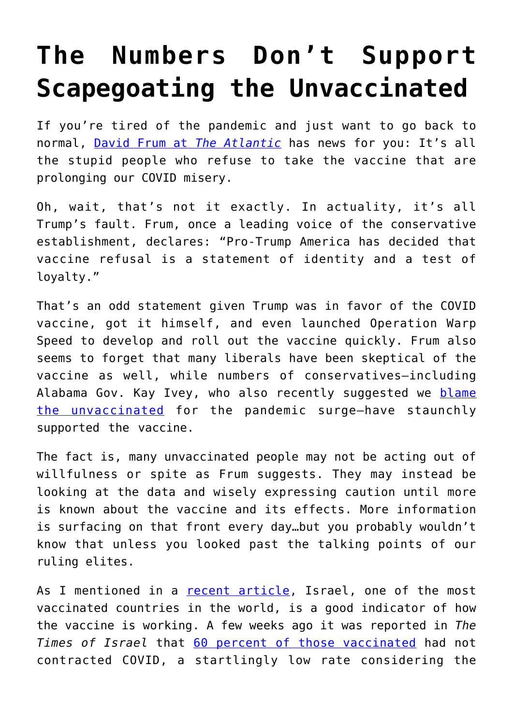## **[The Numbers Don't Support](https://intellectualtakeout.org/2021/07/the-numbers-dont-support-scapegoating-the-unvaccinated/) [Scapegoating the Unvaccinated](https://intellectualtakeout.org/2021/07/the-numbers-dont-support-scapegoating-the-unvaccinated/)**

If you're tired of the pandemic and just want to go back to normal, [David Frum at](https://www.theatlantic.com/ideas/archive/2021/07/vaccinated-america-breaking-point-anti-vaxxers/619539/) *[The Atlantic](https://www.theatlantic.com/ideas/archive/2021/07/vaccinated-america-breaking-point-anti-vaxxers/619539/)* has news for you: It's all the stupid people who refuse to take the vaccine that are prolonging our COVID misery.

Oh, wait, that's not it exactly. In actuality, it's all Trump's fault. Frum, once a leading voice of the conservative establishment, declares: "Pro-Trump America has decided that vaccine refusal is a statement of identity and a test of loyalty."

That's an odd statement given Trump was in favor of the COVID vaccine, got it himself, and even launched Operation Warp Speed to develop and roll out the vaccine quickly. Frum also seems to forget that many liberals have been skeptical of the vaccine as well, while numbers of conservatives—including Alabama Gov. Kay Ivey, who also recently suggested we [blame](https://www.politico.com/news/2021/07/23/alabama-governor-covid-vaccinations-500638) [the unvaccinated](https://www.politico.com/news/2021/07/23/alabama-governor-covid-vaccinations-500638) for the pandemic surge—have staunchly supported the vaccine.

The fact is, many unvaccinated people may not be acting out of willfulness or spite as Frum suggests. They may instead be looking at the data and wisely expressing caution until more is known about the vaccine and its effects. More information is surfacing on that front every day…but you probably wouldn't know that unless you looked past the talking points of our ruling elites.

As I mentioned in a [recent article,](https://www.intellectualtakeout.org/the-cracking-fault-lines-of-our--well-meaning--covid-despots/) Israel, one of the most vaccinated countries in the world, is a good indicator of how the vaccine is working. A few weeks ago it was reported in *The Times of Israel* that [60 percent of those vaccinated](https://www.timesofisrael.com/liveblog_entry/are-recovered-covid-patients-more-protected-than-the-vaccinated/) had not contracted COVID, a startlingly low rate considering the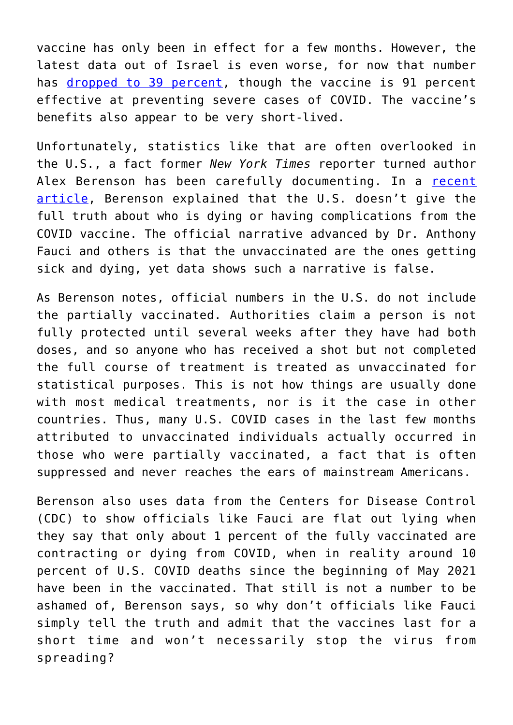vaccine has only been in effect for a few months. However, the latest data out of Israel is even worse, for now that number has [dropped to 39 percent,](https://www.timesofisrael.com/liveblog_entry/health-ministry-says-covid-vaccine-is-only-40-effective-at-halting-transmission/) though the vaccine is 91 percent effective at preventing severe cases of COVID. The vaccine's benefits also appear to be very short-lived.

Unfortunately, statistics like that are often overlooked in the U.S., a fact former *New York Times* reporter turned author Alex Berenson has been carefully documenting. In a [recent](https://alexberenson.substack.com/p/here-we-go-again) [article,](https://alexberenson.substack.com/p/here-we-go-again) Berenson explained that the U.S. doesn't give the full truth about who is dying or having complications from the COVID vaccine. The official narrative advanced by Dr. Anthony Fauci and others is that the unvaccinated are the ones getting sick and dying, yet data shows such a narrative is false.

As Berenson notes, official numbers in the U.S. do not include the partially vaccinated. Authorities claim a person is not fully protected until several weeks after they have had both doses, and so anyone who has received a shot but not completed the full course of treatment is treated as unvaccinated for statistical purposes. This is not how things are usually done with most medical treatments, nor is it the case in other countries. Thus, many U.S. COVID cases in the last few months attributed to unvaccinated individuals actually occurred in those who were partially vaccinated, a fact that is often suppressed and never reaches the ears of mainstream Americans.

Berenson also uses data from the Centers for Disease Control (CDC) to show officials like Fauci are flat out lying when they say that only about 1 percent of the fully vaccinated are contracting or dying from COVID, when in reality around 10 percent of U.S. COVID deaths since the beginning of May 2021 have been in the vaccinated. That still is not a number to be ashamed of, Berenson says, so why don't officials like Fauci simply tell the truth and admit that the vaccines last for a short time and won't necessarily stop the virus from spreading?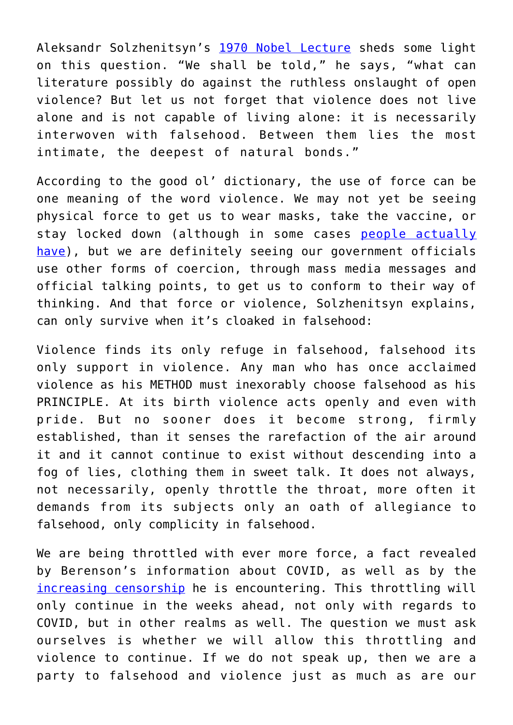Aleksandr Solzhenitsyn's [1970 Nobel Lecture](https://www.nobelprize.org/prizes/literature/1970/solzhenitsyn/lecture/) sheds some light on this question. "We shall be told," he says, "what can literature possibly do against the ruthless onslaught of open violence? But let us not forget that violence does not live alone and is not capable of living alone: it is necessarily interwoven with falsehood. Between them lies the most intimate, the deepest of natural bonds."

According to the good ol' dictionary, the use of force can be one meaning of the word violence. We may not yet be seeing physical force to get us to wear masks, take the vaccine, or stay locked down (although in some cases [people actually](https://www.forbes.com/sites/alexandrasternlicht/2020/04/06/arrested-for-violating-coronavirus-stay-at-home-mandates-police-are-jailing-alleged-scofflaws/?sh=3db6128a68a4) [have](https://www.forbes.com/sites/alexandrasternlicht/2020/04/06/arrested-for-violating-coronavirus-stay-at-home-mandates-police-are-jailing-alleged-scofflaws/?sh=3db6128a68a4)), but we are definitely seeing our government officials use other forms of coercion, through mass media messages and official talking points, to get us to conform to their way of thinking. And that force or violence, Solzhenitsyn explains, can only survive when it's cloaked in falsehood:

Violence finds its only refuge in falsehood, falsehood its only support in violence. Any man who has once acclaimed violence as his METHOD must inexorably choose falsehood as his PRINCIPLE. At its birth violence acts openly and even with pride. But no sooner does it become strong, firmly established, than it senses the rarefaction of the air around it and it cannot continue to exist without descending into a fog of lies, clothing them in sweet talk. It does not always, not necessarily, openly throttle the throat, more often it demands from its subjects only an oath of allegiance to falsehood, only complicity in falsehood.

We are being throttled with ever more force, a fact revealed by Berenson's information about COVID, as well as by the [increasing censorship](https://twitter.com/AlexBerenson/status/1420395483730694146) he is encountering. This throttling will only continue in the weeks ahead, not only with regards to COVID, but in other realms as well. The question we must ask ourselves is whether we will allow this throttling and violence to continue. If we do not speak up, then we are a party to falsehood and violence just as much as are our